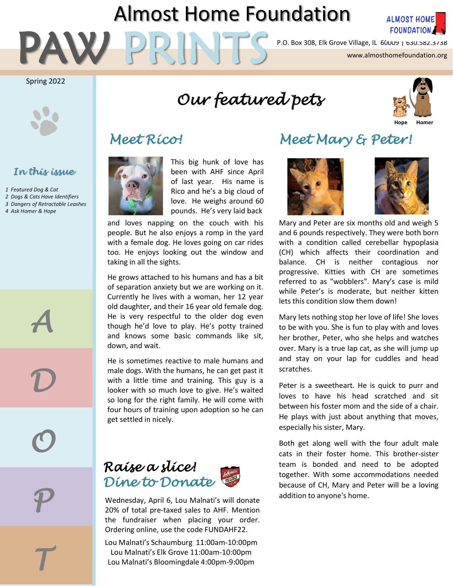# Almost Home Foundation



P.O. Box 308, Elk Grove Village, IL 60009 | 630.582.3738<br>Www.almosthomefoundation.org<br>WWW.almosthomefoundation.org

Spring 2022



#### *In this issue*

*1 Featured Dog & Cat 2 Dogs & Cats Have Identifiers 3 Dangers of Retractable Leashes 4 Ask Homer & Hope*

*A*

*D*

*O*

*P*

*T*

# *Our featured pets*





This big hunk of love has been with AHF since April of last year. His name is Rico and he's a big cloud of love. He weighs around 60 pounds. He's very laid back

and loves napping on the couch with his people. But he also enjoys a romp in the yard with a female dog. He loves going on car rides too. He enjoys looking out the window and taking in all the sights.

He grows attached to his humans and has a bit of separation anxiety but we are working on it. Currently he lives with a woman, her 12 year old daughter, and their 16 year old female dog. He is very respectful to the older dog even though he'd love to play. He's potty trained and knows some basic commands like sit, down, and wait.

He is sometimes reactive to male humans and male dogs. With the humans, he can get past it with a little time and training. This guy is a looker with so much love to give. He's waited so long for the right family. He will come with four hours of training upon adoption so he can get settled in nicely.

### *Raise a slice! Dine to Donate*

addition to anyone's home. Wednesday, April 6, Lou Malnati's will donate 20% of total pre-taxed sales to AHF. Mention the fundraiser when placing your order. Ordering online, use the code FUNDAHF22.

Lou Malnati's Schaumburg 11:00am-10:00pm Lou Malnati's Elk Grove 11:00am-10:00pm Lou Malnati's Bloomingdale 4:00pm-9:00pm

### *Meet Rico! Meet Mary & Peter!*





Mary and Peter are six months old and weigh 5 and 6 pounds respectively. They were both born with a condition called cerebellar hypoplasia (CH) which affects their coordination and balance. CH is neither contagious nor progressive. Kitties with CH are sometimes referred to as "wobblers". Mary's case is mild while Peter's is moderate, but neither kitten lets this condition slow them down!

Mary lets nothing stop her love of life! She loves to be with you. She is fun to play with and loves her brother, Peter, who she helps and watches over. Mary is a true lap cat, as she will jump up and stay on your lap for cuddles and head scratches.

Peter is a sweetheart. He is quick to purr and loves to have his head scratched and sit between his foster mom and the side of a chair. He plays with just about anything that moves, especially his sister, Mary.

Both get along well with the four adult male cats in their foster home. This brother-sister team is bonded and need to be adopted together. With some accommodations needed because of CH, Mary and Peter will be a loving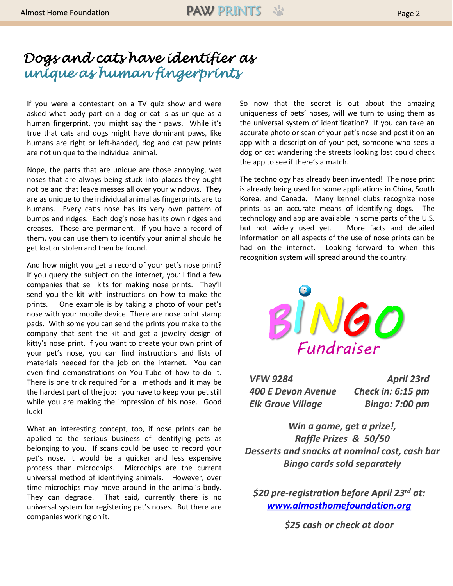## *Dogs and cats have identifier as unique as human fingerprints*

If you were a contestant on a TV quiz show and were asked what body part on a dog or cat is as unique as a human fingerprint, you might say their paws. While it's true that cats and dogs might have dominant paws, like humans are right or left-handed, dog and cat paw prints are not unique to the individual animal.

Nope, the parts that are unique are those annoying, wet noses that are always being stuck into places they ought not be and that leave messes all over your windows. They are as unique to the individual animal as fingerprints are to humans. Every cat's nose has its very own pattern of bumps and ridges. Each dog's nose has its own ridges and creases. These are permanent. If you have a record of them, you can use them to identify your animal should he get lost or stolen and then be found.

And how might you get a record of your pet's nose print? If you query the subject on the internet, you'll find a few companies that sell kits for making nose prints. They'll send you the kit with instructions on how to make the prints. One example is by taking a photo of your pet's nose with your mobile device. There are nose print stamp pads. With some you can send the prints you make to the company that sent the kit and get a jewelry design of kitty's nose print. If you want to create your own print of your pet's nose, you can find instructions and lists of materials needed for the job on the internet. You can even find demonstrations on You-Tube of how to do it. There is one trick required for all methods and it may be the hardest part of the job: you have to keep your pet still while you are making the impression of his nose. Good luck!

What an interesting concept, too, if nose prints can be applied to the serious business of identifying pets as belonging to you. If scans could be used to record your pet's nose, it would be a quicker and less expensive process than microchips. Microchips are the current universal method of identifying animals. However, over time microchips may move around in the animal's body. They can degrade. That said, currently there is no universal system for registering pet's noses. But there are companies working on it.

So now that the secret is out about the amazing uniqueness of pets' noses, will we turn to using them as the universal system of identification? If you can take an accurate photo or scan of your pet's nose and post it on an app with a description of your pet, someone who sees a dog or cat wandering the streets looking lost could check the app to see if there's a match.

The technology has already been invented! The nose print is already being used for some applications in China, South Korea, and Canada. Many kennel clubs recognize nose prints as an accurate means of identifying dogs. The technology and app are available in some parts of the U.S. but not widely used yet. More facts and detailed information on all aspects of the use of nose prints can be had on the internet. Looking forward to when this recognition system will spread around the country.



*VFW 9284 400 E Devon Avenue Elk Grove Village April 23rd Check in: 6:15 pm Bingo: 7:00 pm* 

*Win a game, get a prize!, Raffle Prizes & 50/50 Desserts and snacks at nominal cost, cash bar Bingo cards sold separately*

*\$20 pre-registration before April 23rd at: [www.almosthomefoundation.org](http://www.almosthomefoundation.org/)*

*\$25 cash or check at door*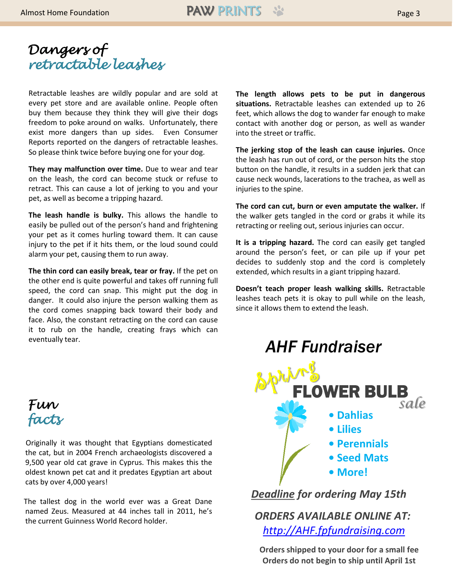

Retractable leashes are wildly popular and are sold at every pet store and are available online. People often buy them because they think they will give their dogs freedom to poke around on walks. Unfortunately, there exist more dangers than up sides. Even Consumer Reports reported on the dangers of retractable leashes. So please think twice before buying one for your dog.

**They may malfunction over time.** Due to wear and tear on the leash, the cord can become stuck or refuse to retract. This can cause a lot of jerking to you and your pet, as well as become a tripping hazard.

**The leash handle is bulky.** This allows the handle to easily be pulled out of the person's hand and frightening your pet as it comes hurling toward them. It can cause injury to the pet if it hits them, or the loud sound could alarm your pet, causing them to run away.

**The thin cord can easily break, tear or fray.** If the pet on the other end is quite powerful and takes off running full speed, the cord can snap. This might put the dog in danger. It could also injure the person walking them as the cord comes snapping back toward their body and face. Also, the constant retracting on the cord can cause it to rub on the handle, creating frays which can eventually tear.



Originally it was thought that Egyptians domesticated the cat, but in 2004 French archaeologists discovered a 9,500 year old cat grave in Cyprus. This makes this the oldest known pet cat and it predates Egyptian art about cats by over 4,000 years!

The tallest dog in the world ever was a Great Dane named Zeus. Measured at 44 inches tall in 2011, he's the current Guinness World Record holder.

**The length allows pets to be put in dangerous situations.** Retractable leashes can extended up to 26 feet, which allows the dog to wander far enough to make contact with another dog or person, as well as wander into the street or traffic.

**The jerking stop of the leash can cause injuries.** Once the leash has run out of cord, or the person hits the stop button on the handle, it results in a sudden jerk that can cause neck wounds, lacerations to the trachea, as well as injuries to the spine.

**The cord can cut, burn or even amputate the walker.** If the walker gets tangled in the cord or grabs it while its retracting or reeling out, serious injuries can occur.

**It is a tripping hazard.** The cord can easily get tangled around the person's feet, or can pile up if your pet decides to suddenly stop and the cord is completely extended, which results in a giant tripping hazard.

**Doesn't teach proper leash walking skills.** Retractable leashes teach pets it is okay to pull while on the leash, since it allows them to extend the leash.



*Deadline for ordering May 15th*

*ORDERS AVAILABLE ONLINE AT: [http://AHF.fpfundraising.com](http://ahf.fpfundraising.com/)*

**Orders shipped to your door for a small fee Orders do not begin to ship until April 1st**